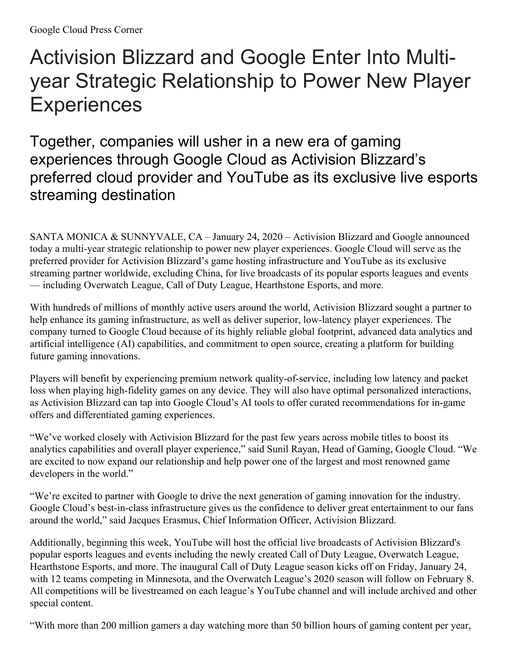## Activision Blizzard and Google Enter Into Multiyear Strategic Relationship to Power New Player **Experiences**

Together, companies will usher in a new era of gaming experiences through Google Cloud as Activision Blizzard's preferred cloud provider and YouTube as its exclusive live esports streaming destination

SANTA MONICA & SUNNYVALE, CA *–* January 24, 2020 *–* Activision Blizzard and Google announced today a multi-year strategic relationship to power new player experiences. Google Cloud will serve as the preferred provider for Activision Blizzard's game hosting infrastructure and YouTube as its exclusive streaming partner worldwide, excluding China, for live broadcasts of its popular esports leagues and events — including Overwatch League, Call of Duty League, Hearthstone Esports, and more.

With hundreds of millions of monthly active users around the world, Activision Blizzard sought a partner to help enhance its gaming infrastructure, as well as deliver superior, low-latency player experiences. The company turned to Google Cloud because of its highly reliable global footprint, advanced data analytics and artificial intelligence (AI) capabilities, and commitment to open source, creating a platform for building future gaming innovations.

Players will benefit by experiencing premium network quality-of-service, including low latency and packet loss when playing high-fidelity games on any device. They will also have optimal personalized interactions, as Activision Blizzard can tap into Google Cloud's AI tools to offer curated recommendations for in-game offers and differentiated gaming experiences.

"We've worked closely with Activision Blizzard for the past few years across mobile titles to boost its analytics capabilities and overall player experience," said Sunil Rayan, Head of Gaming, Google Cloud. "We are excited to now expand our relationship and help power one of the largest and most renowned game developers in the world."

"We're excited to partner with Google to drive the next generation of gaming innovation for the industry. Google Cloud's best-in-class infrastructure gives us the confidence to deliver great entertainment to our fans around the world," said Jacques Erasmus, Chief Information Officer, Activision Blizzard.

Additionally, beginning this week, YouTube will host the official live broadcasts of Activision Blizzard's popular esports leagues and events including the newly created Call of Duty League, Overwatch League, Hearthstone Esports, and more. The inaugural Call of Duty League season kicks off on Friday, January 24, with 12 teams competing in Minnesota, and the Overwatch League's 2020 season will follow on February 8. All competitions will be livestreamed on each league's YouTube channel and will include archived and other special content.

"With more than 200 million gamers a day watching more than 50 billion hours of gaming content per year,